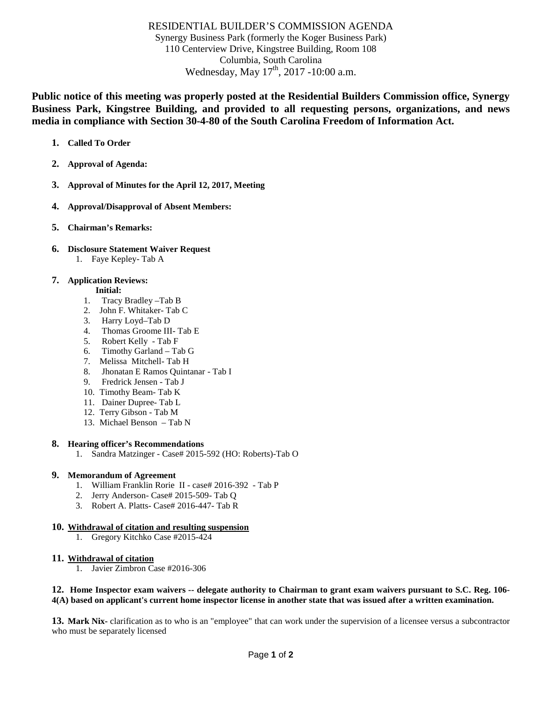# RESIDENTIAL BUILDER'S COMMISSION AGENDA

Synergy Business Park (formerly the Koger Business Park) 110 Centerview Drive, Kingstree Building, Room 108 Columbia, South Carolina Wednesday, May  $17^{th}$ , 2017 -10:00 a.m.

**Public notice of this meeting was properly posted at the Residential Builders Commission office, Synergy Business Park, Kingstree Building, and provided to all requesting persons, organizations, and news media in compliance with Section 30-4-80 of the South Carolina Freedom of Information Act.**

- **1. Called To Order**
- **2. Approval of Agenda:**
- **3. Approval of Minutes for the April 12, 2017, Meeting**
- **4. Approval/Disapproval of Absent Members:**
- **5. Chairman's Remarks:**
- **6. Disclosure Statement Waiver Request**  1. Faye Kepley- Tab A

## **7. Application Reviews:**

- **Initial:**
- 1. Tracy Bradley –Tab B
- 2. John F. Whitaker- Tab C
- 3. Harry Loyd–Tab D
- 4. Thomas Groome III- Tab E
- 5. Robert Kelly Tab F
- 6. Timothy Garland Tab G
- 7. Melissa Mitchell- Tab H
- 8. Jhonatan E Ramos Quintanar Tab I
- 9. Fredrick Jensen Tab J
- 10. Timothy Beam- Tab K
- 11. Dainer Dupree- Tab L
- 12. Terry Gibson Tab M
- 13. Michael Benson Tab N

## **8. Hearing officer's Recommendations**

1. Sandra Matzinger - Case# 2015-592 (HO: Roberts)-Tab O

## **9. Memorandum of Agreement**

- 1. William Franklin Rorie II case# 2016-392 Tab P
- 2. Jerry Anderson- Case# 2015-509- Tab Q
- 3. Robert A. Platts- Case# 2016-447- Tab R

## **10. Withdrawal of citation and resulting suspension**

1. Gregory Kitchko Case #2015-424

## **11. Withdrawal of citation**

1. Javier Zimbron Case #2016-306

#### **12. Home Inspector exam waivers -- delegate authority to Chairman to grant exam waivers pursuant to S.C. Reg. 106- 4(A) based on applicant's current home inspector license in another state that was issued after a written examination.**

**13. Mark Nix-** clarification as to who is an "employee" that can work under the supervision of a licensee versus a subcontractor who must be separately licensed